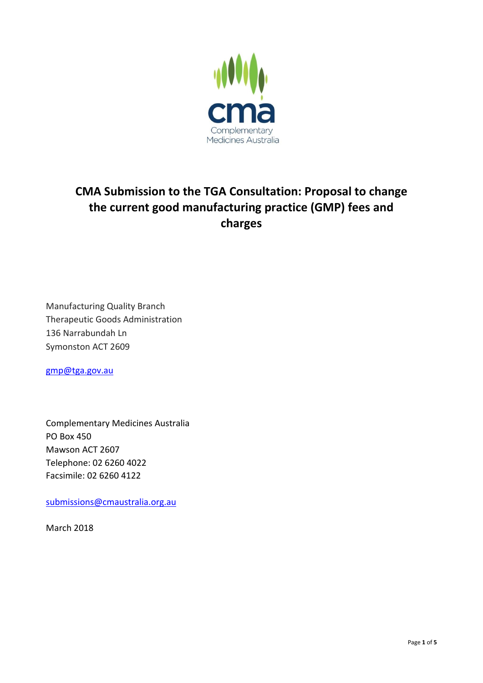

# **CMA Submission to the TGA Consultation: Proposal to change the current good manufacturing practice (GMP) fees and charges**

Manufacturing Quality Branch Therapeutic Goods Administration 136 Narrabundah Ln Symonston ACT 2609

[gmp@tga.gov.au](mailto:gmp@tga.gov.au)

Complementary Medicines Australia PO Box 450 Mawson ACT 2607 Telephone: 02 6260 4022 Facsimile: 02 6260 4122

[submissions@cmaustralia.org.au](mailto:submissions@cmaustralia.org.au)

March 2018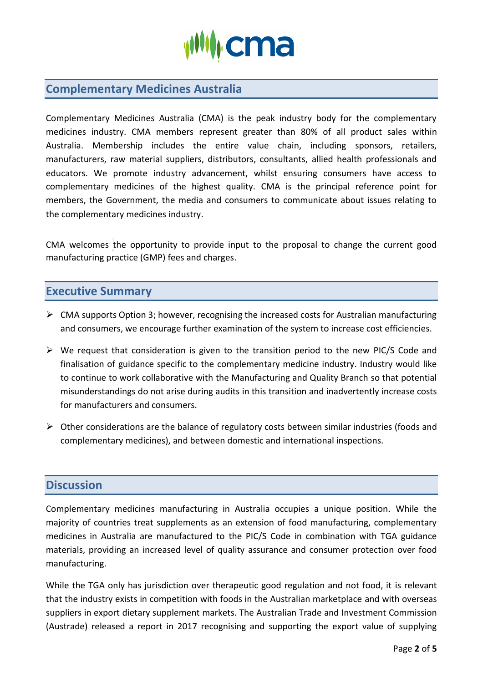

# **Complementary Medicines Australia**

Complementary Medicines Australia (CMA) is the peak industry body for the complementary medicines industry. CMA members represent greater than 80% of all product sales within Australia. Membership includes the entire value chain, including sponsors, retailers, manufacturers, raw material suppliers, distributors, consultants, allied health professionals and educators. We promote industry advancement, whilst ensuring consumers have access to complementary medicines of the highest quality. CMA is the principal reference point for members, the Government, the media and consumers to communicate about issues relating to the complementary medicines industry.

CMA welcomes the opportunity to provide input to the proposal to change the current good manufacturing practice (GMP) fees and charges.

## **Executive Summary**

- $\triangleright$  CMA supports Option 3; however, recognising the increased costs for Australian manufacturing and consumers, we encourage further examination of the system to increase cost efficiencies.
- $\triangleright$  We request that consideration is given to the transition period to the new PIC/S Code and finalisation of guidance specific to the complementary medicine industry. Industry would like to continue to work collaborative with the Manufacturing and Quality Branch so that potential misunderstandings do not arise during audits in this transition and inadvertently increase costs for manufacturers and consumers.
- ➢ Other considerations are the balance of regulatory costs between similar industries (foods and complementary medicines), and between domestic and international inspections.

## **Discussion**

Complementary medicines manufacturing in Australia occupies a unique position. While the majority of countries treat supplements as an extension of food manufacturing, complementary medicines in Australia are manufactured to the PIC/S Code in combination with TGA guidance materials, providing an increased level of quality assurance and consumer protection over food manufacturing.

While the TGA only has jurisdiction over therapeutic good regulation and not food, it is relevant that the industry exists in competition with foods in the Australian marketplace and with overseas suppliers in export dietary supplement markets. The Australian Trade and Investment Commission (Austrade) released a report in 2017 recognising and supporting the export value of supplying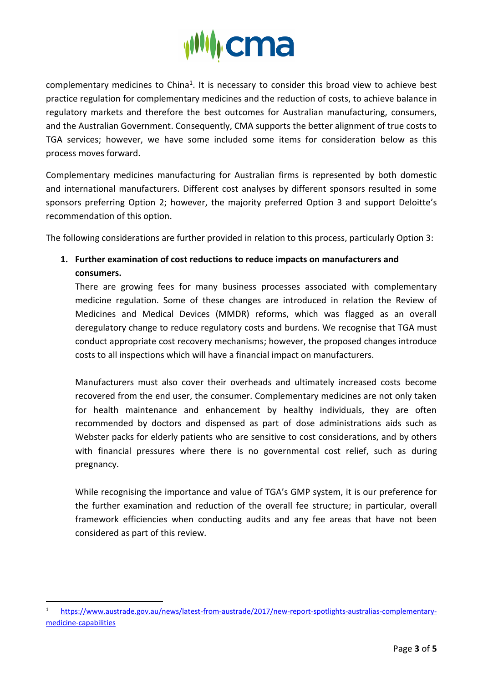

complementary medicines to China<sup>1</sup>. It is necessary to consider this broad view to achieve best practice regulation for complementary medicines and the reduction of costs, to achieve balance in regulatory markets and therefore the best outcomes for Australian manufacturing, consumers, and the Australian Government. Consequently, CMA supports the better alignment of true costs to TGA services; however, we have some included some items for consideration below as this process moves forward.

Complementary medicines manufacturing for Australian firms is represented by both domestic and international manufacturers. Different cost analyses by different sponsors resulted in some sponsors preferring Option 2; however, the majority preferred Option 3 and support Deloitte's recommendation of this option.

The following considerations are further provided in relation to this process, particularly Option 3:

**1. Further examination of cost reductions to reduce impacts on manufacturers and consumers.**

There are growing fees for many business processes associated with complementary medicine regulation. Some of these changes are introduced in relation the Review of Medicines and Medical Devices (MMDR) reforms, which was flagged as an overall deregulatory change to reduce regulatory costs and burdens. We recognise that TGA must conduct appropriate cost recovery mechanisms; however, the proposed changes introduce costs to all inspections which will have a financial impact on manufacturers.

Manufacturers must also cover their overheads and ultimately increased costs become recovered from the end user, the consumer. Complementary medicines are not only taken for health maintenance and enhancement by healthy individuals, they are often recommended by doctors and dispensed as part of dose administrations aids such as Webster packs for elderly patients who are sensitive to cost considerations, and by others with financial pressures where there is no governmental cost relief, such as during pregnancy.

While recognising the importance and value of TGA's GMP system, it is our preference for the further examination and reduction of the overall fee structure; in particular, overall framework efficiencies when conducting audits and any fee areas that have not been considered as part of this review.

-

<sup>1</sup> [https://www.austrade.gov.au/news/latest-from-austrade/2017/new-report-spotlights-australias-complementary](https://www.austrade.gov.au/news/latest-from-austrade/2017/new-report-spotlights-australias-complementary-medicine-capabilities)[medicine-capabilities](https://www.austrade.gov.au/news/latest-from-austrade/2017/new-report-spotlights-australias-complementary-medicine-capabilities)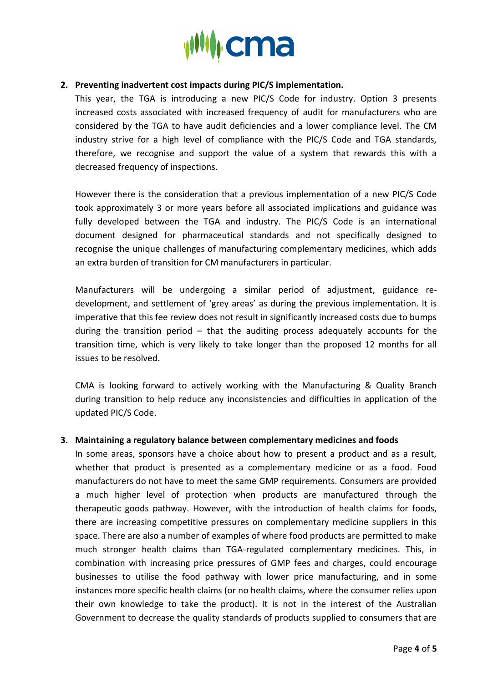

### **2. Preventing inadvertent cost impacts during PIC/S implementation.**

This year, the TGA is introducing a new PIC/S Code for industry. Option 3 presents increased costs associated with increased frequency of audit for manufacturers who are considered by the TGA to have audit deficiencies and a lower compliance level. The CM industry strive for a high level of compliance with the PIC/S Code and TGA standards, therefore, we recognise and support the value of a system that rewards this with a decreased frequency of inspections.

However there is the consideration that a previous implementation of a new PIC/S Code took approximately 3 or more years before all associated implications and guidance was fully developed between the TGA and industry. The PIC/S Code is an international document designed for pharmaceutical standards and not specifically designed to recognise the unique challenges of manufacturing complementary medicines, which adds an extra burden of transition for CM manufacturers in particular.

Manufacturers will be undergoing a similar period of adjustment, guidance redevelopment, and settlement of 'grey areas' as during the previous implementation. It is imperative that this fee review does not result in significantly increased costs due to bumps during the transition period – that the auditing process adequately accounts for the transition time, which is very likely to take longer than the proposed 12 months for all issues to be resolved.

CMA is looking forward to actively working with the Manufacturing & Quality Branch during transition to help reduce any inconsistencies and difficulties in application of the updated PIC/S Code.

### **3. Maintaining a regulatory balance between complementary medicines and foods**

In some areas, sponsors have a choice about how to present a product and as a result, whether that product is presented as a complementary medicine or as a food. Food manufacturers do not have to meet the same GMP requirements. Consumers are provided a much higher level of protection when products are manufactured through the therapeutic goods pathway. However, with the introduction of health claims for foods, there are increasing competitive pressures on complementary medicine suppliers in this space. There are also a number of examples of where food products are permitted to make much stronger health claims than TGA-regulated complementary medicines. This, in combination with increasing price pressures of GMP fees and charges, could encourage businesses to utilise the food pathway with lower price manufacturing, and in some instances more specific health claims (or no health claims, where the consumer relies upon their own knowledge to take the product). It is not in the interest of the Australian Government to decrease the quality standards of products supplied to consumers that are